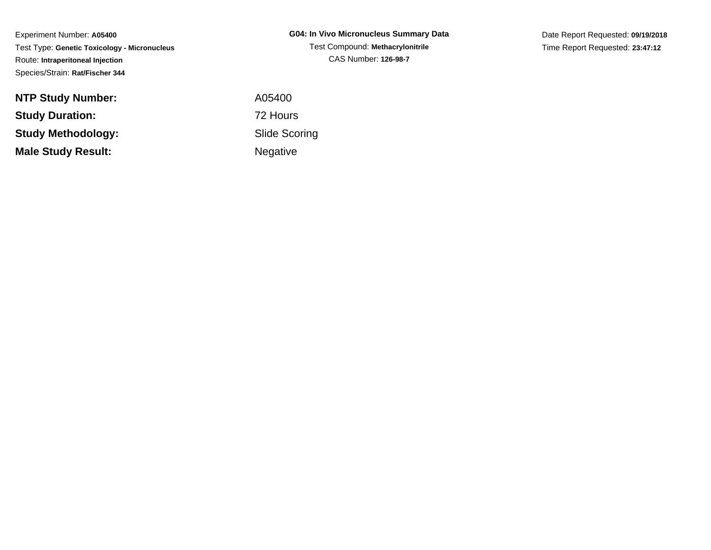Experiment Number: **A05400** Test Type: **Genetic Toxicology - Micronucleus**Route: **Intraperitoneal Injection**Species/Strain: **Rat/Fischer 344**

| <b>NTP Study Number:</b>  | A05400          |
|---------------------------|-----------------|
| <b>Study Duration:</b>    | 72 Hours        |
| Study Methodology:        | Slide Sco       |
| <b>Male Study Result:</b> | <b>Negative</b> |

**G04: In Vivo Micronucleus Summary Data**Test Compound: **Methacrylonitrile**CAS Number: **126-98-7**

Date Report Requested: **09/19/2018**Time Report Requested: **23:47:12**

 A05400 Slide ScoringNegative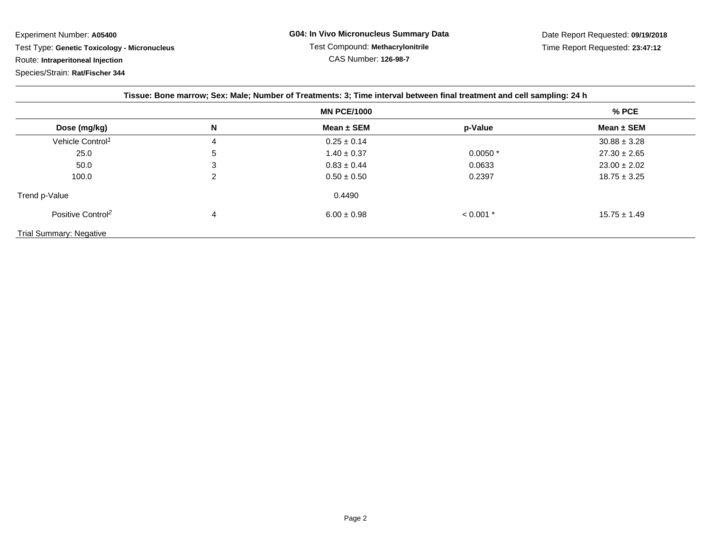Experiment Number: **A05400**

Test Type: **Genetic Toxicology - Micronucleus**

Route: **Intraperitoneal Injection**

Species/Strain: **Rat/Fischer 344**

| Tissue: Bone marrow; Sex: Male; Number of Treatments: 3; Time interval between final treatment and cell sampling: 24 h |   |                 |             |                  |  |  |
|------------------------------------------------------------------------------------------------------------------------|---|-----------------|-------------|------------------|--|--|
|                                                                                                                        |   |                 | $%$ PCE     |                  |  |  |
| Dose (mg/kg)                                                                                                           | N | Mean $\pm$ SEM  | p-Value     | Mean $\pm$ SEM   |  |  |
| Vehicle Control <sup>1</sup>                                                                                           | 4 | $0.25 \pm 0.14$ |             | $30.88 \pm 3.28$ |  |  |
| 25.0                                                                                                                   | 5 | $1.40 \pm 0.37$ | $0.0050*$   | $27.30 \pm 2.65$ |  |  |
| 50.0                                                                                                                   | 3 | $0.83 \pm 0.44$ | 0.0633      | $23.00 \pm 2.02$ |  |  |
| 100.0                                                                                                                  | ົ | $0.50 \pm 0.50$ | 0.2397      | $18.75 \pm 3.25$ |  |  |
| Trend p-Value                                                                                                          |   | 0.4490          |             |                  |  |  |
| Positive Control <sup>2</sup>                                                                                          | 4 | $6.00 \pm 0.98$ | $< 0.001$ * | $15.75 \pm 1.49$ |  |  |
| Trial Summary: Negative                                                                                                |   |                 |             |                  |  |  |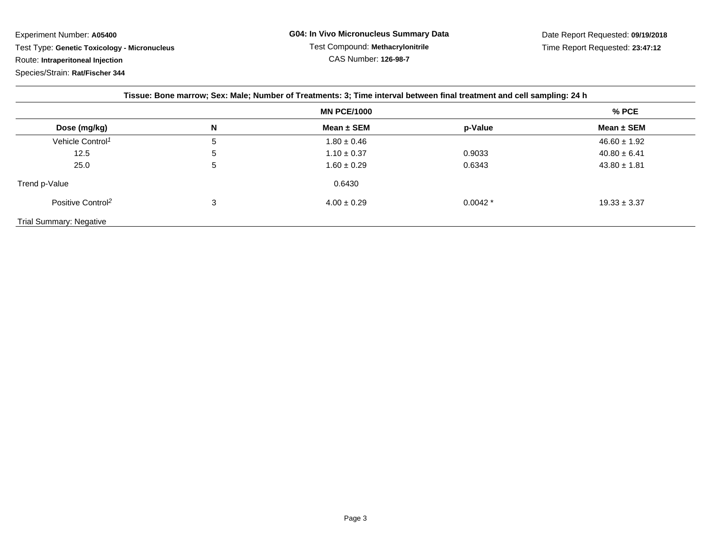Experiment Number: **A05400**Test Type: **Genetic Toxicology - Micronucleus**

Route: **Intraperitoneal Injection**

Species/Strain: **Rat/Fischer 344**

| Tissue: Bone marrow; Sex: Male; Number of Treatments: 3; Time interval between final treatment and cell sampling: 24 h |                    |                 |           |                  |  |  |
|------------------------------------------------------------------------------------------------------------------------|--------------------|-----------------|-----------|------------------|--|--|
|                                                                                                                        | <b>MN PCE/1000</b> |                 |           | $%$ PCE          |  |  |
| Dose (mg/kg)                                                                                                           | N                  | Mean $\pm$ SEM  | p-Value   | Mean $\pm$ SEM   |  |  |
| Vehicle Control <sup>1</sup>                                                                                           | 5                  | $1.80 \pm 0.46$ |           | $46.60 \pm 1.92$ |  |  |
| 12.5                                                                                                                   | 5                  | $1.10 \pm 0.37$ | 0.9033    | $40.80 \pm 6.41$ |  |  |
| 25.0                                                                                                                   | 5                  | $1.60 \pm 0.29$ | 0.6343    | $43.80 \pm 1.81$ |  |  |
| Trend p-Value                                                                                                          |                    | 0.6430          |           |                  |  |  |
| Positive Control <sup>2</sup>                                                                                          | 3                  | $4.00 \pm 0.29$ | $0.0042*$ | $19.33 \pm 3.37$ |  |  |
| <b>Trial Summary: Negative</b>                                                                                         |                    |                 |           |                  |  |  |